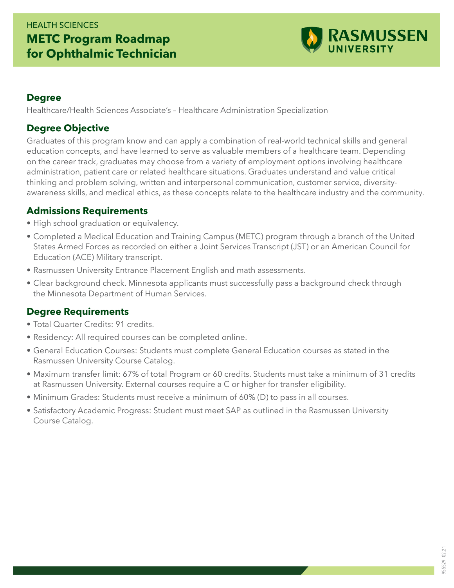## HEALTH SCIENCES **METC Program Roadmap for Ophthalmic Technician**



#### **Degree**

Healthcare/Health Sciences Associate's – Healthcare Administration Specialization

#### **Degree Objective**

Graduates of this program know and can apply a combination of real-world technical skills and general education concepts, and have learned to serve as valuable members of a healthcare team. Depending on the career track, graduates may choose from a variety of employment options involving healthcare administration, patient care or related healthcare situations. Graduates understand and value critical thinking and problem solving, written and interpersonal communication, customer service, diversityawareness skills, and medical ethics, as these concepts relate to the healthcare industry and the community.

#### **Admissions Requirements**

- High school graduation or equivalency.
- Completed a Medical Education and Training Campus (METC) program through a branch of the United States Armed Forces as recorded on either a Joint Services Transcript (JST) or an American Council for Education (ACE) Military transcript.
- Rasmussen University Entrance Placement English and math assessments.
- Clear background check. Minnesota applicants must successfully pass a background check through the Minnesota Department of Human Services.

### **Degree Requirements**

- Total Quarter Credits: 91 credits.
- Residency: All required courses can be completed online.
- General Education Courses: Students must complete General Education courses as stated in the Rasmussen University Course Catalog.
- Maximum transfer limit: 67% of total Program or 60 credits. Students must take a minimum of 31 credits at Rasmussen University. External courses require a C or higher for transfer eligibility.
- Minimum Grades: Students must receive a minimum of 60% (D) to pass in all courses.
- Satisfactory Academic Progress: Student must meet SAP as outlined in the Rasmussen University Course Catalog.